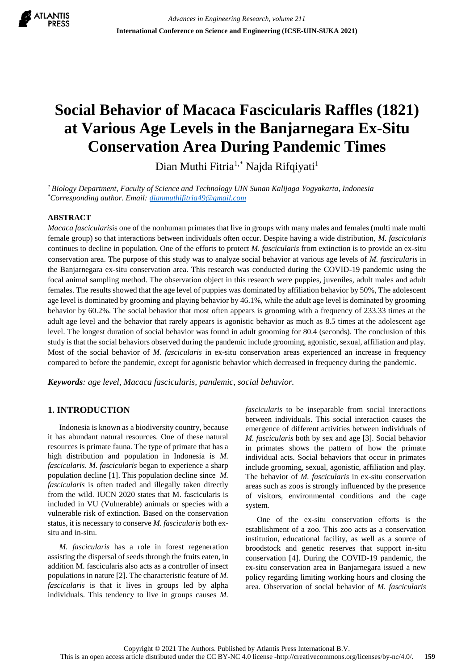

# **Social Behavior of Macaca Fascicularis Raffles (1821) at Various Age Levels in the Banjarnegara Ex-Situ Conservation Area During Pandemic Times**

Dian Muthi Fitria<sup>1,\*</sup> Najda Rifqiyati<sup>1</sup>

*<sup>1</sup>Biology Department, Faculty of Science and Technology UIN Sunan Kalijaga Yogyakarta, Indonesia \*Corresponding author. Email[: dianmuthifitria49@gmail.com](mailto:dianmuthifitria49@gmail.com)*

## **ABSTRACT**

*Macaca fascicularis*is one of the nonhuman primates that live in groups with many males and females (multi male multi female group) so that interactions between individuals often occur. Despite having a wide distribution, *M. fascicularis* continues to decline in population. One of the efforts to protect *M. fascicularis* from extinction is to provide an ex-situ conservation area. The purpose of this study was to analyze social behavior at various age levels of *M. fascicularis* in the Banjarnegara ex-situ conservation area. This research was conducted during the COVID-19 pandemic using the focal animal sampling method. The observation object in this research were puppies, juveniles, adult males and adult females. The results showed that the age level of puppies was dominated by affiliation behavior by 50%, The adolescent age level is dominated by grooming and playing behavior by 46.1%, while the adult age level is dominated by grooming behavior by 60.2%. The social behavior that most often appears is grooming with a frequency of 233.33 times at the adult age level and the behavior that rarely appears is agonistic behavior as much as 8.5 times at the adolescent age level. The longest duration of social behavior was found in adult grooming for 80.4 (seconds). The conclusion of this study is that the social behaviors observed during the pandemic include grooming, agonistic, sexual, affiliation and play. Most of the social behavior of *M. fascicularis* in ex-situ conservation areas experienced an increase in frequency compared to before the pandemic, except for agonistic behavior which decreased in frequency during the pandemic.

*Keywords: age level, Macaca fascicularis, pandemic, social behavior.*

# **1. INTRODUCTION**

Indonesia is known as a biodiversity country, because it has abundant natural resources. One of these natural resources is primate fauna. The type of primate that has a high distribution and population in Indonesia is *M. fascicularis*. *M. fascicularis* began to experience a sharp population decline [1]. This population decline since *M. fascicularis* is often traded and illegally taken directly from the wild. IUCN 2020 states that M. fascicularis is included in VU (Vulnerable) animals or species with a vulnerable risk of extinction. Based on the conservation status, it is necessary to conserve *M. fascicularis* both exsitu and in-situ.

*M. fascicularis* has a role in forest regeneration assisting the dispersal of seeds through the fruits eaten, in addition M. fascicularis also acts as a controller of insect populations in nature [2]. The characteristic feature of *M. fascicularis* is that it lives in groups led by alpha individuals. This tendency to live in groups causes *M.*  *fascicularis* to be inseparable from social interactions between individuals. This social interaction causes the emergence of different activities between individuals of *M. fascicularis* both by sex and age [3]. Social behavior in primates shows the pattern of how the primate individual acts. Social behaviors that occur in primates include grooming, sexual, agonistic, affiliation and play. The behavior of *M. fascicularis* in ex-situ conservation areas such as zoos is strongly influenced by the presence of visitors, environmental conditions and the cage system.

One of the ex-situ conservation efforts is the establishment of a zoo. This zoo acts as a conservation institution, educational facility, as well as a source of broodstock and genetic reserves that support in-situ conservation [4]. During the COVID-19 pandemic, the ex-situ conservation area in Banjarnegara issued a new policy regarding limiting working hours and closing the area. Observation of social behavior of *M. fascicularis*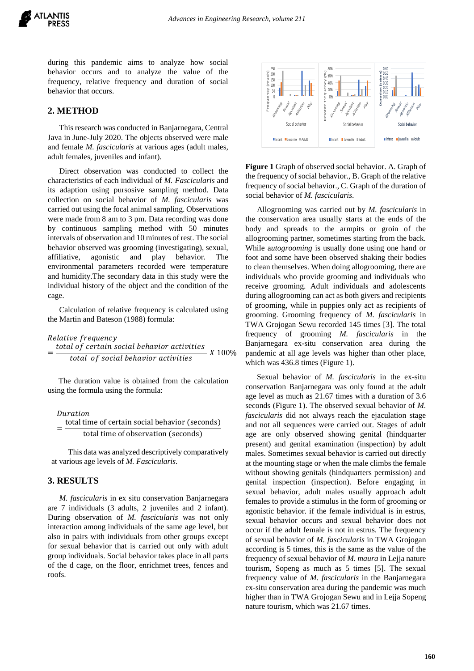during this pandemic aims to analyze how social behavior occurs and to analyze the value of the frequency, relative frequency and duration of social behavior that occurs.

# **2. METHOD**

This research was conducted in Banjarnegara, Central Java in June-July 2020. The objects observed were male and female *M. fascicularis* at various ages (adult males, adult females, juveniles and infant).

Direct observation was conducted to collect the characteristics of each individual of *M. Fascicularis* and its adaption using pursosive sampling method. Data collection on social behavior of *M. fascicularis* was carried out using the focal animal sampling. Observations were made from 8 am to 3 pm. Data recording was done by continuous sampling method with 50 minutes intervals of observation and 10 minutes of rest. The social behavior observed was grooming (investigating), sexual, affiliative, agonistic and play behavior. The environmental parameters recorded were temperature and humidity.The secondary data in this study were the individual history of the object and the condition of the cage.

Calculation of relative frequency is calculated using the Martin and Bateson (1988) formula:

## Relative frequency

= total of certain social behavior activities<br>All 100% total of social behavior activities

The duration value is obtained from the calculation using the formula using the formula:

Duration = total time of certain social behavior (seconds) total time of observation (seconds)

This data was analyzed descriptively comparatively at various age levels of *M. Fascicularis*.

### **3. RESULTS**

*M. fascicularis* in ex situ conservation Banjarnegara are 7 individuals (3 adults, 2 juveniles and 2 infant). During observation of *M. fascicularis* was not only interaction among individuals of the same age level, but also in pairs with individuals from other groups except for sexual behavior that is carried out only with adult group individuals. Social behavior takes place in all parts of the d cage, on the floor, enrichmet trees, fences and roofs.



**Figure 1** Graph of observed social behavior. A. Graph of the frequency of social behavior., B. Graph of the relative frequency of social behavior., C. Graph of the duration of social behavior of *M. fascicularis*.

Allogrooming was carried out by *M. fascicularis* in the conservation area usually starts at the ends of the body and spreads to the armpits or groin of the allogrooming partner, sometimes starting from the back. While a*utogrooming* is usually done using one hand or foot and some have been observed shaking their bodies to clean themselves. When doing allogrooming, there are individuals who provide grooming and individuals who receive grooming. Adult individuals and adolescents during allogrooming can act as both givers and recipients of grooming, while in puppies only act as recipients of grooming. Grooming frequency of *M. fascicularis* in TWA Grojogan Sewu recorded 145 times [3]. The total frequency of grooming *M. fascicularis* in the Banjarnegara ex-situ conservation area during the pandemic at all age levels was higher than other place, which was 436.8 times (Figure 1).

Sexual behavior of *M. fascicularis* in the ex-situ conservation Banjarnegara was only found at the adult age level as much as 21.67 times with a duration of 3.6 seconds (Figure 1). The observed sexual behavior of *M. fascicularis* did not always reach the ejaculation stage and not all sequences were carried out. Stages of adult age are only observed showing genital (hindquarter present) and genital examination (inspection) by adult males. Sometimes sexual behavior is carried out directly at the mounting stage or when the male climbs the female without showing genitals (hindquarters permission) and genital inspection (inspection). Before engaging in sexual behavior, adult males usually approach adult females to provide a stimulus in the form of grooming or agonistic behavior. if the female individual is in estrus, sexual behavior occurs and sexual behavior does not occur if the adult female is not in estrus. The frequency of sexual behavior of *M. fascicularis* in TWA Grojogan according is 5 times, this is the same as the value of the frequency of sexual behavior of *M. maura* in Lejja nature tourism, Sopeng as much as 5 times [5]. The sexual frequency value of *M. fascicularis* in the Banjarnegara ex-situ conservation area during the pandemic was much higher than in TWA Grojogan Sewu and in Lejja Sopeng nature tourism, which was 21.67 times.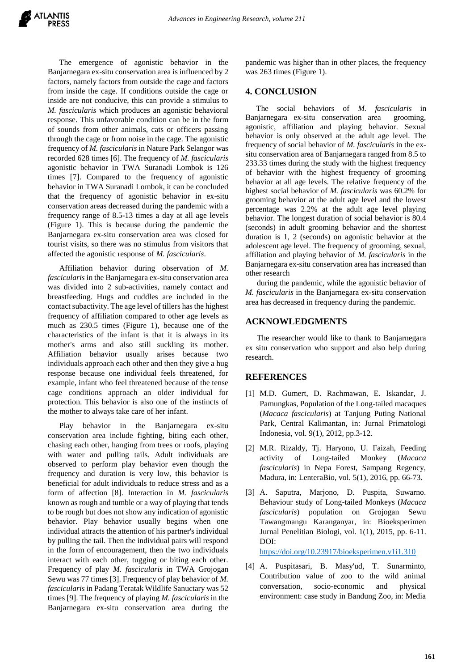The emergence of agonistic behavior in the Banjarnegara ex-situ conservation area is influenced by 2 factors, namely factors from outside the cage and factors from inside the cage. If conditions outside the cage or inside are not conducive, this can provide a stimulus to *M. fascicularis* which produces an agonistic behavioral response. This unfavorable condition can be in the form of sounds from other animals, cats or officers passing through the cage or from noise in the cage. The agonistic frequency of *M. fascicularis* in Nature Park Selangor was recorded 628 times [6]. The frequency of *M. fascicularis* agonistic behavior in TWA Suranadi Lombok is 126 times [7]. Compared to the frequency of agonistic behavior in TWA Suranadi Lombok, it can be concluded that the frequency of agonistic behavior in ex-situ conservation areas decreased during the pandemic with a frequency range of 8.5-13 times a day at all age levels (Figure 1). This is because during the pandemic the Banjarnegara ex-situ conservation area was closed for tourist visits, so there was no stimulus from visitors that affected the agonistic response of *M. fascicularis*.

Affiliation behavior during observation of *M. fascicularis* in the Banjarnegara ex-situ conservation area was divided into 2 sub-activities, namely contact and breastfeeding. Hugs and cuddles are included in the contact subactivity. The age level of tillers has the highest frequency of affiliation compared to other age levels as much as 230.5 times (Figure 1), because one of the characteristics of the infant is that it is always in its mother's arms and also still suckling its mother. Affiliation behavior usually arises because two individuals approach each other and then they give a hug response because one individual feels threatened, for example, infant who feel threatened because of the tense cage conditions approach an older individual for protection. This behavior is also one of the instincts of the mother to always take care of her infant.

Play behavior in the Banjarnegara ex-situ conservation area include fighting, biting each other, chasing each other, hanging from trees or roofs, playing with water and pulling tails. Adult individuals are observed to perform play behavior even though the frequency and duration is very low, this behavior is beneficial for adult individuals to reduce stress and as a form of affection [8]. Interaction in *M. fascicularis* known as rough and tumble or a way of playing that tends to be rough but does not show any indication of agonistic behavior. Play behavior usually begins when one individual attracts the attention of his partner's individual by pulling the tail. Then the individual pairs will respond in the form of encouragement, then the two individuals interact with each other, tugging or biting each other. Frequency of play *M. fascicularis* in TWA Grojogan Sewu was 77 times [3]. Frequency of play behavior of *M. fascicularis* in Padang Teratak Wildlife Sanuctary was 52 times [9]. The frequency of playing *M. fascicularis* in the Banjarnegara ex-situ conservation area during the pandemic was higher than in other places, the frequency was 263 times (Figure 1).

## **4. CONCLUSION**

The social behaviors of *M. fascicularis* in Banjarnegara ex-situ conservation area grooming, agonistic, affiliation and playing behavior. Sexual behavior is only observed at the adult age level. The frequency of social behavior of *M. fascicularis* in the exsitu conservation area of Banjarnegara ranged from 8.5 to 233.33 times during the study with the highest frequency of behavior with the highest frequency of grooming behavior at all age levels. The relative frequency of the highest social behavior of *M. fascicularis* was 60.2% for grooming behavior at the adult age level and the lowest percentage was 2.2% at the adult age level playing behavior. The longest duration of social behavior is 80.4 (seconds) in adult grooming behavior and the shortest duration is 1, 2 (seconds) on agonistic behavior at the adolescent age level. The frequency of grooming, sexual, affiliation and playing behavior of *M. fascicularis* in the Banjarnegara ex-situ conservation area has increased than other research

during the pandemic, while the agonistic behavior of *M. fascicularis* in the Banjarnegara ex-situ conservation area has decreased in frequency during the pandemic.

## **ACKNOWLEDGMENTS**

The researcher would like to thank to Banjarnegara ex situ conservation who support and also help during research.

#### **REFERENCES**

- [1] M.D. Gumert, D. Rachmawan, E. Iskandar, J. Pamungkas, Population of the Long-tailed macaques (*Macaca fascicularis*) at Tanjung Puting National Park, Central Kalimantan, in: Jurnal Primatologi Indonesia, vol. 9(1), 2012, pp.3-12.
- [2] M.R. Rizaldy, Tj. Haryono, U. Faizah, Feeding activity of Long-tailed Monkey (*Macaca fascicularis*) in Nepa Forest, Sampang Regency, Madura, in: LenteraBio, vol. 5(1), 2016, pp. 66-73.
- [3] A. Saputra, Marjono, D. Puspita, Suwarno. Behaviour study of Long-tailed Monkeys (*Macaca fascicularis*) population on Grojogan Sewu Tawangmangu Karanganyar, in: Bioeksperimen Jurnal Penelitian Biologi, vol. 1(1), 2015, pp. 6-11. DOI:

<https://doi.org/10.23917/bioeksperimen.v1i1.310>

[4] A. Puspitasari, B. Masy'ud, T. Sunarminto, Contribution value of zoo to the wild animal conversation, socio-economic and physical environment: case study in Bandung Zoo, in: Media